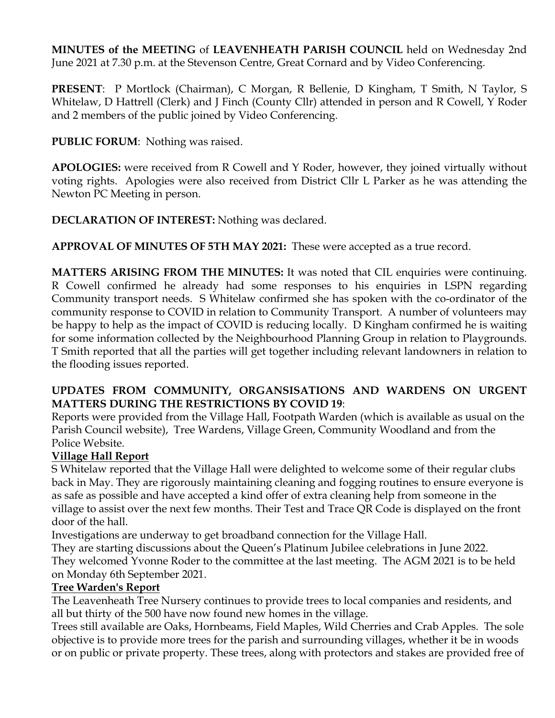**MINUTES of the MEETING** of **LEAVENHEATH PARISH COUNCIL** held on Wednesday 2nd June 2021 at 7.30 p.m. at the Stevenson Centre, Great Cornard and by Video Conferencing.

**PRESENT**: P Mortlock (Chairman), C Morgan, R Bellenie, D Kingham, T Smith, N Taylor, S Whitelaw, D Hattrell (Clerk) and J Finch (County Cllr) attended in person and R Cowell, Y Roder and 2 members of the public joined by Video Conferencing.

**PUBLIC FORUM**: Nothing was raised.

**APOLOGIES:** were received from R Cowell and Y Roder, however, they joined virtually without voting rights. Apologies were also received from District Cllr L Parker as he was attending the Newton PC Meeting in person.

**DECLARATION OF INTEREST:** Nothing was declared.

**APPROVAL OF MINUTES OF 5TH MAY 2021:** These were accepted as a true record.

**MATTERS ARISING FROM THE MINUTES:** It was noted that CIL enquiries were continuing. R Cowell confirmed he already had some responses to his enquiries in LSPN regarding Community transport needs. S Whitelaw confirmed she has spoken with the co-ordinator of the community response to COVID in relation to Community Transport. A number of volunteers may be happy to help as the impact of COVID is reducing locally. D Kingham confirmed he is waiting for some information collected by the Neighbourhood Planning Group in relation to Playgrounds. T Smith reported that all the parties will get together including relevant landowners in relation to the flooding issues reported.

#### **UPDATES FROM COMMUNITY, ORGANSISATIONS AND WARDENS ON URGENT MATTERS DURING THE RESTRICTIONS BY COVID 19**:

Reports were provided from the Village Hall, Footpath Warden (which is available as usual on the Parish Council website), Tree Wardens, Village Green, Community Woodland and from the Police Website.

# **Village Hall Report**

S Whitelaw reported that the Village Hall were delighted to welcome some of their regular clubs back in May. They are rigorously maintaining cleaning and fogging routines to ensure everyone is as safe as possible and have accepted a kind offer of extra cleaning help from someone in the village to assist over the next few months. Their Test and Trace QR Code is displayed on the front door of the hall.

Investigations are underway to get broadband connection for the Village Hall.

They are starting discussions about the Queen's Platinum Jubilee celebrations in June 2022. They welcomed Yvonne Roder to the committee at the last meeting. The AGM 2021 is to be held on Monday 6th September 2021.

# **Tree Warden's Report**

The Leavenheath Tree Nursery continues to provide trees to local companies and residents, and all but thirty of the 500 have now found new homes in the village.

Trees still available are Oaks, Hornbeams, Field Maples, Wild Cherries and Crab Apples. The sole objective is to provide more trees for the parish and surrounding villages, whether it be in woods or on public or private property. These trees, along with protectors and stakes are provided free of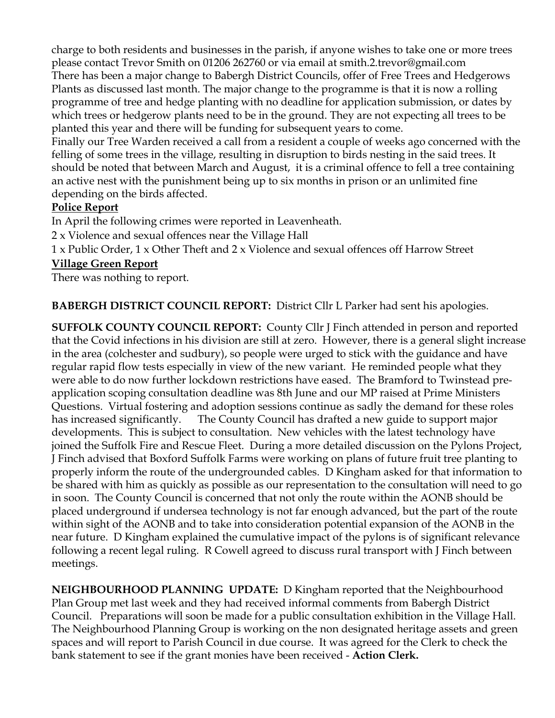charge to both residents and businesses in the parish, if anyone wishes to take one or more trees please contact Trevor Smith on 01206 262760 or via email at smith.2.trevor@gmail.com There has been a major change to Babergh District Councils, offer of Free Trees and Hedgerows Plants as discussed last month. The major change to the programme is that it is now a rolling programme of tree and hedge planting with no deadline for application submission, or dates by which trees or hedgerow plants need to be in the ground. They are not expecting all trees to be planted this year and there will be funding for subsequent years to come.

Finally our Tree Warden received a call from a resident a couple of weeks ago concerned with the felling of some trees in the village, resulting in disruption to birds nesting in the said trees. It should be noted that between March and August, it is a criminal offence to fell a tree containing an active nest with the punishment being up to six months in prison or an unlimited fine depending on the birds affected.

# **Police Report**

In April the following crimes were reported in Leavenheath.

2 x Violence and sexual offences near the Village Hall

1 x Public Order, 1 x Other Theft and 2 x Violence and sexual offences off Harrow Street

## **Village Green Report**

There was nothing to report.

**BABERGH DISTRICT COUNCIL REPORT:** District Cllr L Parker had sent his apologies.

**SUFFOLK COUNTY COUNCIL REPORT:** County Cllr J Finch attended in person and reported that the Covid infections in his division are still at zero. However, there is a general slight increase in the area (colchester and sudbury), so people were urged to stick with the guidance and have regular rapid flow tests especially in view of the new variant. He reminded people what they were able to do now further lockdown restrictions have eased. The Bramford to Twinstead preapplication scoping consultation deadline was 8th June and our MP raised at Prime Ministers Questions. Virtual fostering and adoption sessions continue as sadly the demand for these roles has increased significantly.The County Council has drafted a new guide to support major developments. This is subject to consultation. New vehicles with the latest technology have joined the Suffolk Fire and Rescue Fleet. During a more detailed discussion on the Pylons Project, J Finch advised that Boxford Suffolk Farms were working on plans of future fruit tree planting to properly inform the route of the undergrounded cables. D Kingham asked for that information to be shared with him as quickly as possible as our representation to the consultation will need to go in soon. The County Council is concerned that not only the route within the AONB should be placed underground if undersea technology is not far enough advanced, but the part of the route within sight of the AONB and to take into consideration potential expansion of the AONB in the near future. D Kingham explained the cumulative impact of the pylons is of significant relevance following a recent legal ruling. R Cowell agreed to discuss rural transport with J Finch between meetings.

**NEIGHBOURHOOD PLANNING UPDATE:** D Kingham reported that the Neighbourhood Plan Group met last week and they had received informal comments from Babergh District Council. Preparations will soon be made for a public consultation exhibition in the Village Hall. The Neighbourhood Planning Group is working on the non designated heritage assets and green spaces and will report to Parish Council in due course. It was agreed for the Clerk to check the bank statement to see if the grant monies have been received - **Action Clerk.**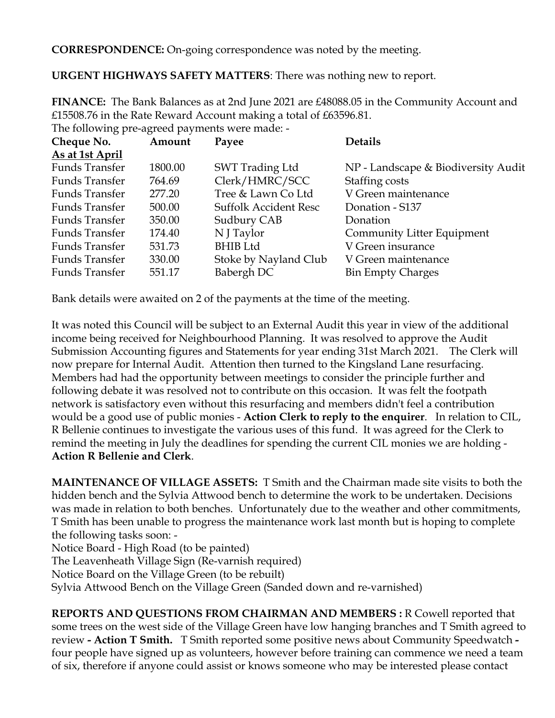**CORRESPONDENCE:** On-going correspondence was noted by the meeting.

**URGENT HIGHWAYS SAFETY MATTERS**: There was nothing new to report.

**FINANCE:** The Bank Balances as at 2nd June 2021 are £48088.05 in the Community Account and £15508.76 in the Rate Reward Account making a total of £63596.81. The following pre-agreed payments were made: -

| Cheque No.            | Amount  | Payee                        | <b>Details</b>                      |
|-----------------------|---------|------------------------------|-------------------------------------|
| As at 1st April       |         |                              |                                     |
| <b>Funds Transfer</b> | 1800.00 | SWT Trading Ltd              | NP - Landscape & Biodiversity Audit |
| Funds Transfer        | 764.69  | Clerk/HMRC/SCC               | Staffing costs                      |
| Funds Transfer        | 277.20  | Tree & Lawn Co Ltd           | V Green maintenance                 |
| <b>Funds Transfer</b> | 500.00  | <b>Suffolk Accident Resc</b> | Donation - S137                     |
| Funds Transfer        | 350.00  | Sudbury CAB                  | Donation                            |
| Funds Transfer        | 174.40  | N J Taylor                   | Community Litter Equipment          |
| Funds Transfer        | 531.73  | <b>BHIB</b> Ltd              | V Green insurance                   |
| Funds Transfer        | 330.00  | Stoke by Nayland Club        | V Green maintenance                 |
| <b>Funds Transfer</b> | 551.17  | Babergh DC                   | <b>Bin Empty Charges</b>            |

Bank details were awaited on 2 of the payments at the time of the meeting.

It was noted this Council will be subject to an External Audit this year in view of the additional income being received for Neighbourhood Planning. It was resolved to approve the Audit Submission Accounting figures and Statements for year ending 31st March 2021. The Clerk will now prepare for Internal Audit. Attention then turned to the Kingsland Lane resurfacing. Members had had the opportunity between meetings to consider the principle further and following debate it was resolved not to contribute on this occasion. It was felt the footpath network is satisfactory even without this resurfacing and members didn't feel a contribution would be a good use of public monies - **Action Clerk to reply to the enquirer**. In relation to CIL, R Bellenie continues to investigate the various uses of this fund. It was agreed for the Clerk to remind the meeting in July the deadlines for spending the current CIL monies we are holding - **Action R Bellenie and Clerk**.

**MAINTENANCE OF VILLAGE ASSETS:** T Smith and the Chairman made site visits to both the hidden bench and the Sylvia Attwood bench to determine the work to be undertaken. Decisions was made in relation to both benches. Unfortunately due to the weather and other commitments, T Smith has been unable to progress the maintenance work last month but is hoping to complete the following tasks soon: -

Notice Board - High Road (to be painted)

The Leavenheath Village Sign (Re-varnish required)

Notice Board on the Village Green (to be rebuilt)

Sylvia Attwood Bench on the Village Green (Sanded down and re-varnished)

**REPORTS AND QUESTIONS FROM CHAIRMAN AND MEMBERS :** R Cowell reported that some trees on the west side of the Village Green have low hanging branches and T Smith agreed to review **- Action T Smith.** T Smith reported some positive news about Community Speedwatch  four people have signed up as volunteers, however before training can commence we need a team of six, therefore if anyone could assist or knows someone who may be interested please contact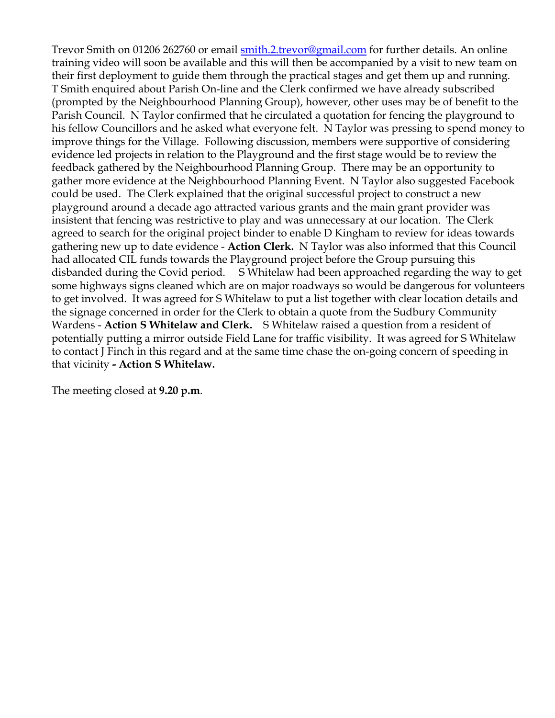Trevor Smith on 01206 262760 or email smith.2.trevor@gmail.com for further details. An online training video will soon be available and this will then be accompanied by a visit to new team on their first deployment to guide them through the practical stages and get them up and running. T Smith enquired about Parish On-line and the Clerk confirmed we have already subscribed (prompted by the Neighbourhood Planning Group), however, other uses may be of benefit to the Parish Council. N Taylor confirmed that he circulated a quotation for fencing the playground to his fellow Councillors and he asked what everyone felt. N Taylor was pressing to spend money to improve things for the Village. Following discussion, members were supportive of considering evidence led projects in relation to the Playground and the first stage would be to review the feedback gathered by the Neighbourhood Planning Group. There may be an opportunity to gather more evidence at the Neighbourhood Planning Event. N Taylor also suggested Facebook could be used. The Clerk explained that the original successful project to construct a new playground around a decade ago attracted various grants and the main grant provider was insistent that fencing was restrictive to play and was unnecessary at our location. The Clerk agreed to search for the original project binder to enable D Kingham to review for ideas towards gathering new up to date evidence - **Action Clerk.** N Taylor was also informed that this Council had allocated CIL funds towards the Playground project before the Group pursuing this disbanded during the Covid period. S Whitelaw had been approached regarding the way to get some highways signs cleaned which are on major roadways so would be dangerous for volunteers to get involved. It was agreed for S Whitelaw to put a list together with clear location details and the signage concerned in order for the Clerk to obtain a quote from the Sudbury Community Wardens - **Action S Whitelaw and Clerk.** S Whitelaw raised a question from a resident of potentially putting a mirror outside Field Lane for traffic visibility. It was agreed for S Whitelaw to contact J Finch in this regard and at the same time chase the on-going concern of speeding in that vicinity **- Action S Whitelaw.**

The meeting closed at **9.20 p.m**.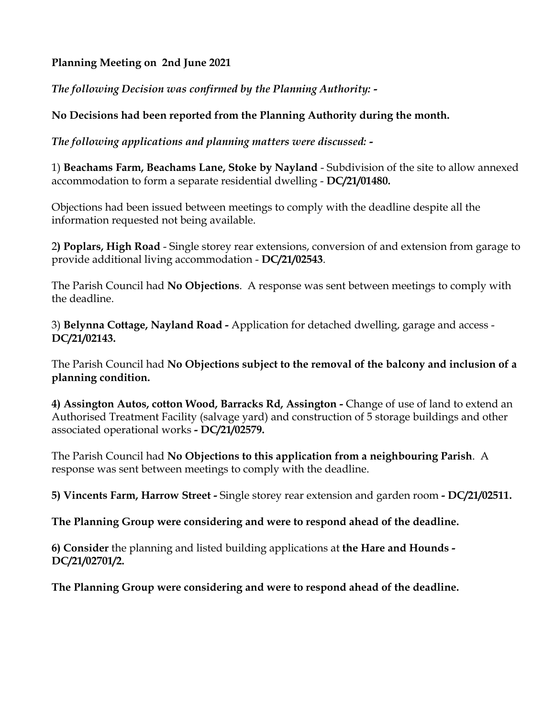## **Planning Meeting on 2nd June 2021**

*The following Decision was confirmed by the Planning Authority: -*

## **No Decisions had been reported from the Planning Authority during the month.**

*The following applications and planning matters were discussed: -*

1) **Beachams Farm, Beachams Lane, Stoke by Nayland** - Subdivision of the site to allow annexed accommodation to form a separate residential dwelling - **DC/21/01480.**

Objections had been issued between meetings to comply with the deadline despite all the information requested not being available.

2**) Poplars, High Road** - Single storey rear extensions, conversion of and extension from garage to provide additional living accommodation - **DC/21/02543**.

The Parish Council had **No Objections**. A response was sent between meetings to comply with the deadline.

3) **Belynna Cottage, Nayland Road -** Application for detached dwelling, garage and access - **DC/21/02143.**

The Parish Council had **No Objections subject to the removal of the balcony and inclusion of a planning condition.** 

**4) Assington Autos, cotton Wood, Barracks Rd, Assington -** Change of use of land to extend an Authorised Treatment Facility (salvage yard) and construction of 5 storage buildings and other associated operational works **- DC/21/02579.** 

The Parish Council had **No Objections to this application from a neighbouring Parish**. A response was sent between meetings to comply with the deadline.

**5) Vincents Farm, Harrow Street -** Single storey rear extension and garden room **- DC/21/02511.** 

**The Planning Group were considering and were to respond ahead of the deadline.** 

**6) Consider** the planning and listed building applications at **the Hare and Hounds - DC/21/02701/2.**

**The Planning Group were considering and were to respond ahead of the deadline.**